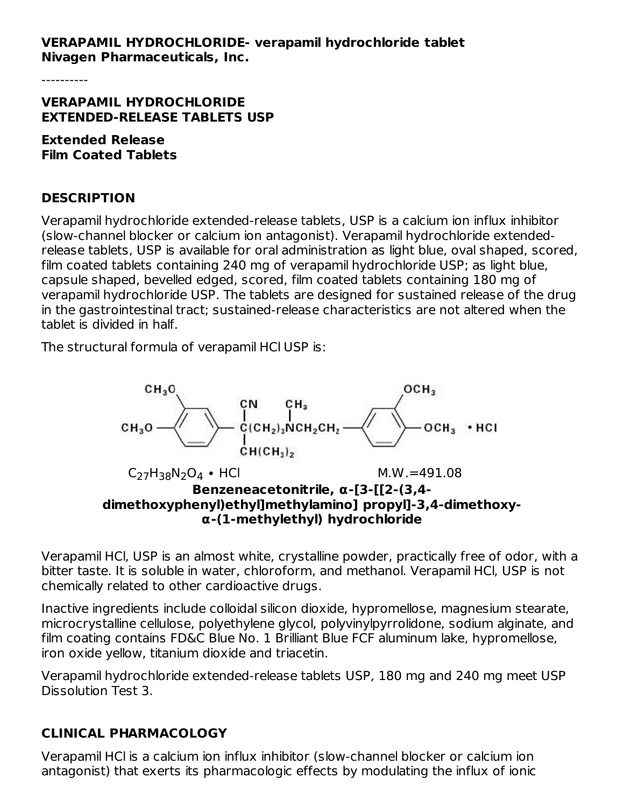#### **VERAPAMIL HYDROCHLORIDE- verapamil hydrochloride tablet Nivagen Pharmaceuticals, Inc.**

----------

#### **VERAPAMIL HYDROCHLORIDE EXTENDED-RELEASE TABLETS USP**

**Extended Release Film Coated Tablets**

### **DESCRIPTION**

Verapamil hydrochloride extended-release tablets, USP is a calcium ion influx inhibitor (slow-channel blocker or calcium ion antagonist). Verapamil hydrochloride extendedrelease tablets, USP is available for oral administration as light blue, oval shaped, scored, film coated tablets containing 240 mg of verapamil hydrochloride USP; as light blue, capsule shaped, bevelled edged, scored, film coated tablets containing 180 mg of verapamil hydrochloride USP. The tablets are designed for sustained release of the drug in the gastrointestinal tract; sustained-release characteristics are not altered when the tablet is divided in half.

The structural formula of verapamil HCl USP is:



Verapamil HCl, USP is an almost white, crystalline powder, practically free of odor, with a bitter taste. It is soluble in water, chloroform, and methanol. Verapamil HCl, USP is not chemically related to other cardioactive drugs.

Inactive ingredients include colloidal silicon dioxide, hypromellose, magnesium stearate, microcrystalline cellulose, polyethylene glycol, polyvinylpyrrolidone, sodium alginate, and film coating contains FD&C Blue No. 1 Brilliant Blue FCF aluminum lake, hypromellose, iron oxide yellow, titanium dioxide and triacetin.

Verapamil hydrochloride extended-release tablets USP, 180 mg and 240 mg meet USP Dissolution Test 3.

### **CLINICAL PHARMACOLOGY**

Verapamil HCl is a calcium ion influx inhibitor (slow-channel blocker or calcium ion antagonist) that exerts its pharmacologic effects by modulating the influx of ionic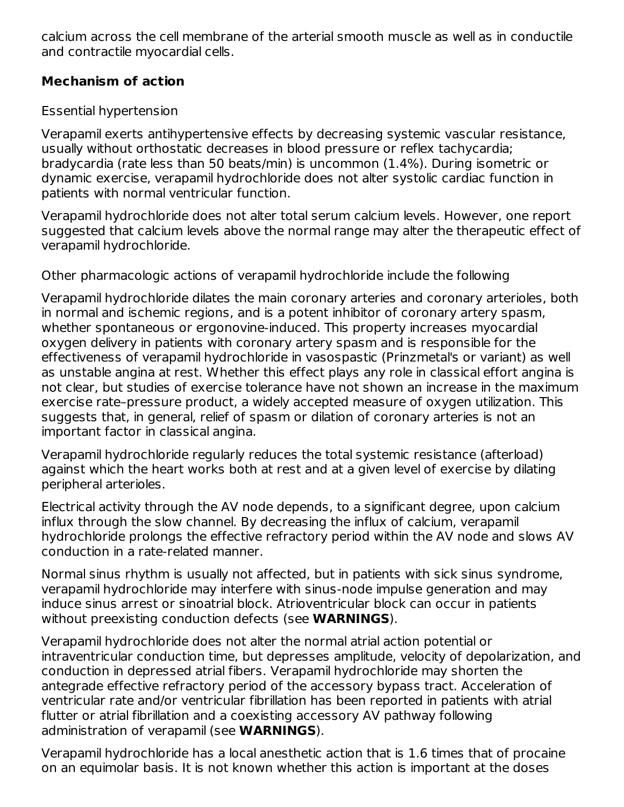calcium across the cell membrane of the arterial smooth muscle as well as in conductile and contractile myocardial cells.

#### **Mechanism of action**

### Essential hypertension

Verapamil exerts antihypertensive effects by decreasing systemic vascular resistance, usually without orthostatic decreases in blood pressure or reflex tachycardia; bradycardia (rate less than 50 beats/min) is uncommon (1.4%). During isometric or dynamic exercise, verapamil hydrochloride does not alter systolic cardiac function in patients with normal ventricular function.

Verapamil hydrochloride does not alter total serum calcium levels. However, one report suggested that calcium levels above the normal range may alter the therapeutic effect of verapamil hydrochloride.

Other pharmacologic actions of verapamil hydrochloride include the following

Verapamil hydrochloride dilates the main coronary arteries and coronary arterioles, both in normal and ischemic regions, and is a potent inhibitor of coronary artery spasm, whether spontaneous or ergonovine-induced. This property increases myocardial oxygen delivery in patients with coronary artery spasm and is responsible for the effectiveness of verapamil hydrochloride in vasospastic (Prinzmetal's or variant) as well as unstable angina at rest. Whether this effect plays any role in classical effort angina is not clear, but studies of exercise tolerance have not shown an increase in the maximum exercise rate–pressure product, a widely accepted measure of oxygen utilization. This suggests that, in general, relief of spasm or dilation of coronary arteries is not an important factor in classical angina.

Verapamil hydrochloride regularly reduces the total systemic resistance (afterload) against which the heart works both at rest and at a given level of exercise by dilating peripheral arterioles.

Electrical activity through the AV node depends, to a significant degree, upon calcium influx through the slow channel. By decreasing the influx of calcium, verapamil hydrochloride prolongs the effective refractory period within the AV node and slows AV conduction in a rate-related manner.

Normal sinus rhythm is usually not affected, but in patients with sick sinus syndrome, verapamil hydrochloride may interfere with sinus-node impulse generation and may induce sinus arrest or sinoatrial block. Atrioventricular block can occur in patients without preexisting conduction defects (see **WARNINGS**).

Verapamil hydrochloride does not alter the normal atrial action potential or intraventricular conduction time, but depresses amplitude, velocity of depolarization, and conduction in depressed atrial fibers. Verapamil hydrochloride may shorten the antegrade effective refractory period of the accessory bypass tract. Acceleration of ventricular rate and/or ventricular fibrillation has been reported in patients with atrial flutter or atrial fibrillation and a coexisting accessory AV pathway following administration of verapamil (see **WARNINGS**).

Verapamil hydrochloride has a local anesthetic action that is 1.6 times that of procaine on an equimolar basis. It is not known whether this action is important at the doses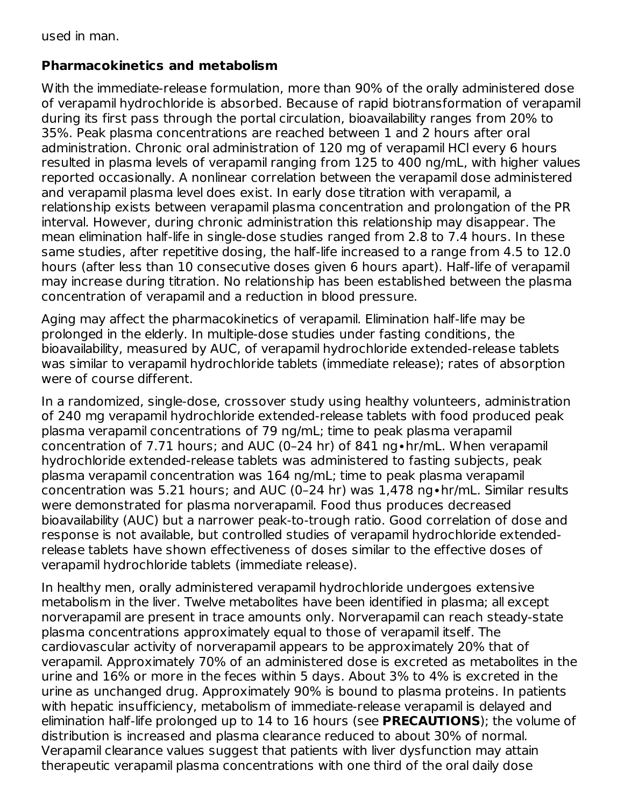used in man.

#### **Pharmacokinetics and metabolism**

With the immediate-release formulation, more than 90% of the orally administered dose of verapamil hydrochloride is absorbed. Because of rapid biotransformation of verapamil during its first pass through the portal circulation, bioavailability ranges from 20% to 35%. Peak plasma concentrations are reached between 1 and 2 hours after oral administration. Chronic oral administration of 120 mg of verapamil HCl every 6 hours resulted in plasma levels of verapamil ranging from 125 to 400 ng/mL, with higher values reported occasionally. A nonlinear correlation between the verapamil dose administered and verapamil plasma level does exist. In early dose titration with verapamil, a relationship exists between verapamil plasma concentration and prolongation of the PR interval. However, during chronic administration this relationship may disappear. The mean elimination half-life in single-dose studies ranged from 2.8 to 7.4 hours. In these same studies, after repetitive dosing, the half-life increased to a range from 4.5 to 12.0 hours (after less than 10 consecutive doses given 6 hours apart). Half-life of verapamil may increase during titration. No relationship has been established between the plasma concentration of verapamil and a reduction in blood pressure.

Aging may affect the pharmacokinetics of verapamil. Elimination half-life may be prolonged in the elderly. In multiple-dose studies under fasting conditions, the bioavailability, measured by AUC, of verapamil hydrochloride extended-release tablets was similar to verapamil hydrochloride tablets (immediate release); rates of absorption were of course different.

In a randomized, single-dose, crossover study using healthy volunteers, administration of 240 mg verapamil hydrochloride extended-release tablets with food produced peak plasma verapamil concentrations of 79 ng/mL; time to peak plasma verapamil concentration of 7.71 hours; and AUC (0–24 hr) of 841 ng∙hr/mL. When verapamil hydrochloride extended-release tablets was administered to fasting subjects, peak plasma verapamil concentration was 164 ng/mL; time to peak plasma verapamil concentration was 5.21 hours; and AUC (0–24 hr) was 1,478 ng∙hr/mL. Similar results were demonstrated for plasma norverapamil. Food thus produces decreased bioavailability (AUC) but a narrower peak-to-trough ratio. Good correlation of dose and response is not available, but controlled studies of verapamil hydrochloride extendedrelease tablets have shown effectiveness of doses similar to the effective doses of verapamil hydrochloride tablets (immediate release).

In healthy men, orally administered verapamil hydrochloride undergoes extensive metabolism in the liver. Twelve metabolites have been identified in plasma; all except norverapamil are present in trace amounts only. Norverapamil can reach steady-state plasma concentrations approximately equal to those of verapamil itself. The cardiovascular activity of norverapamil appears to be approximately 20% that of verapamil. Approximately 70% of an administered dose is excreted as metabolites in the urine and 16% or more in the feces within 5 days. About 3% to 4% is excreted in the urine as unchanged drug. Approximately 90% is bound to plasma proteins. In patients with hepatic insufficiency, metabolism of immediate-release verapamil is delayed and elimination half-life prolonged up to 14 to 16 hours (see **PRECAUTIONS**); the volume of distribution is increased and plasma clearance reduced to about 30% of normal. Verapamil clearance values suggest that patients with liver dysfunction may attain therapeutic verapamil plasma concentrations with one third of the oral daily dose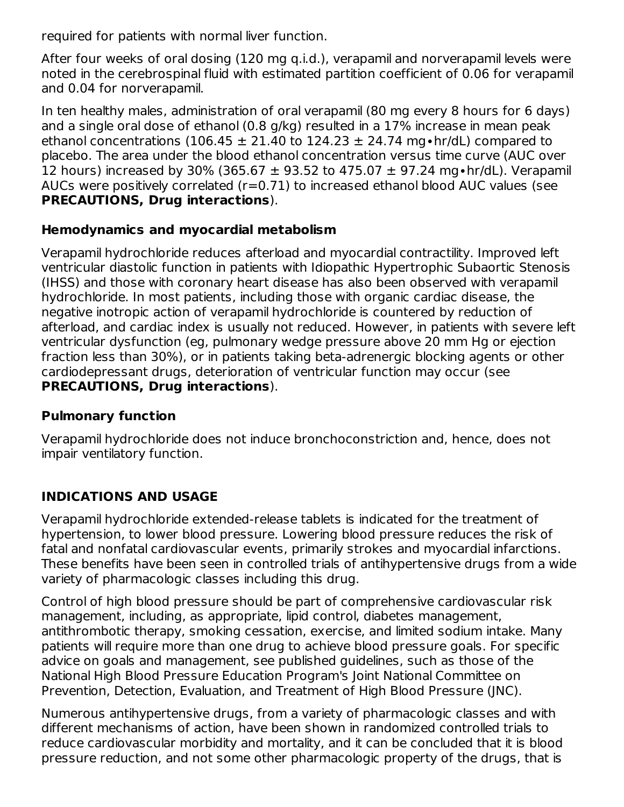required for patients with normal liver function.

After four weeks of oral dosing (120 mg q.i.d.), verapamil and norverapamil levels were noted in the cerebrospinal fluid with estimated partition coefficient of 0.06 for verapamil and 0.04 for norverapamil.

In ten healthy males, administration of oral verapamil (80 mg every 8 hours for 6 days) and a single oral dose of ethanol (0.8 g/kg) resulted in a 17% increase in mean peak ethanol concentrations (106.45  $\pm$  21.40 to 124.23  $\pm$  24.74 mg•hr/dL) compared to placebo. The area under the blood ethanol concentration versus time curve (AUC over 12 hours) increased by 30% (365.67 ± 93.52 to 475.07 ± 97.24 mg∙hr/dL). Verapamil AUCs were positively correlated (r=0.71) to increased ethanol blood AUC values (see **PRECAUTIONS, Drug interactions**).

### **Hemodynamics and myocardial metabolism**

Verapamil hydrochloride reduces afterload and myocardial contractility. Improved left ventricular diastolic function in patients with Idiopathic Hypertrophic Subaortic Stenosis (IHSS) and those with coronary heart disease has also been observed with verapamil hydrochloride. In most patients, including those with organic cardiac disease, the negative inotropic action of verapamil hydrochloride is countered by reduction of afterload, and cardiac index is usually not reduced. However, in patients with severe left ventricular dysfunction (eg, pulmonary wedge pressure above 20 mm Hg or ejection fraction less than 30%), or in patients taking beta-adrenergic blocking agents or other cardiodepressant drugs, deterioration of ventricular function may occur (see **PRECAUTIONS, Drug interactions**).

### **Pulmonary function**

Verapamil hydrochloride does not induce bronchoconstriction and, hence, does not impair ventilatory function.

## **INDICATIONS AND USAGE**

Verapamil hydrochloride extended-release tablets is indicated for the treatment of hypertension, to lower blood pressure. Lowering blood pressure reduces the risk of fatal and nonfatal cardiovascular events, primarily strokes and myocardial infarctions. These benefits have been seen in controlled trials of antihypertensive drugs from a wide variety of pharmacologic classes including this drug.

Control of high blood pressure should be part of comprehensive cardiovascular risk management, including, as appropriate, lipid control, diabetes management, antithrombotic therapy, smoking cessation, exercise, and limited sodium intake. Many patients will require more than one drug to achieve blood pressure goals. For specific advice on goals and management, see published guidelines, such as those of the National High Blood Pressure Education Program's Joint National Committee on Prevention, Detection, Evaluation, and Treatment of High Blood Pressure (JNC).

Numerous antihypertensive drugs, from a variety of pharmacologic classes and with different mechanisms of action, have been shown in randomized controlled trials to reduce cardiovascular morbidity and mortality, and it can be concluded that it is blood pressure reduction, and not some other pharmacologic property of the drugs, that is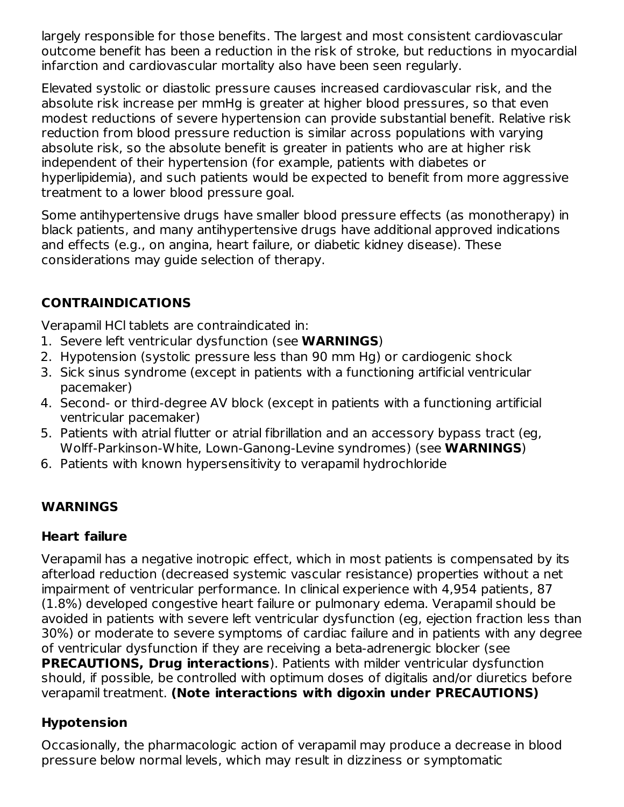largely responsible for those benefits. The largest and most consistent cardiovascular outcome benefit has been a reduction in the risk of stroke, but reductions in myocardial infarction and cardiovascular mortality also have been seen regularly.

Elevated systolic or diastolic pressure causes increased cardiovascular risk, and the absolute risk increase per mmHg is greater at higher blood pressures, so that even modest reductions of severe hypertension can provide substantial benefit. Relative risk reduction from blood pressure reduction is similar across populations with varying absolute risk, so the absolute benefit is greater in patients who are at higher risk independent of their hypertension (for example, patients with diabetes or hyperlipidemia), and such patients would be expected to benefit from more aggressive treatment to a lower blood pressure goal.

Some antihypertensive drugs have smaller blood pressure effects (as monotherapy) in black patients, and many antihypertensive drugs have additional approved indications and effects (e.g., on angina, heart failure, or diabetic kidney disease). These considerations may guide selection of therapy.

# **CONTRAINDICATIONS**

Verapamil HCl tablets are contraindicated in:

- 1. Severe left ventricular dysfunction (see **WARNINGS**)
- 2. Hypotension (systolic pressure less than 90 mm Hg) or cardiogenic shock
- 3. Sick sinus syndrome (except in patients with a functioning artificial ventricular pacemaker)
- 4. Second- or third-degree AV block (except in patients with a functioning artificial ventricular pacemaker)
- 5. Patients with atrial flutter or atrial fibrillation and an accessory bypass tract (eg, Wolff-Parkinson-White, Lown-Ganong-Levine syndromes) (see **WARNINGS**)
- 6. Patients with known hypersensitivity to verapamil hydrochloride

## **WARNINGS**

### **Heart failure**

Verapamil has a negative inotropic effect, which in most patients is compensated by its afterload reduction (decreased systemic vascular resistance) properties without a net impairment of ventricular performance. In clinical experience with 4,954 patients, 87 (1.8%) developed congestive heart failure or pulmonary edema. Verapamil should be avoided in patients with severe left ventricular dysfunction (eg, ejection fraction less than 30%) or moderate to severe symptoms of cardiac failure and in patients with any degree of ventricular dysfunction if they are receiving a beta-adrenergic blocker (see **PRECAUTIONS, Drug interactions**). Patients with milder ventricular dysfunction should, if possible, be controlled with optimum doses of digitalis and/or diuretics before verapamil treatment. **(Note interactions with digoxin under PRECAUTIONS)**

## **Hypotension**

Occasionally, the pharmacologic action of verapamil may produce a decrease in blood pressure below normal levels, which may result in dizziness or symptomatic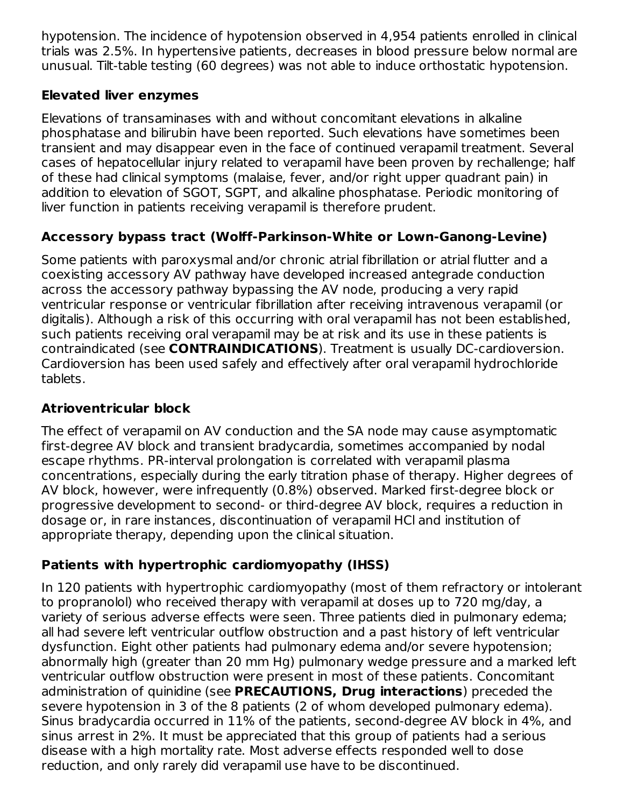hypotension. The incidence of hypotension observed in 4,954 patients enrolled in clinical trials was 2.5%. In hypertensive patients, decreases in blood pressure below normal are unusual. Tilt-table testing (60 degrees) was not able to induce orthostatic hypotension.

## **Elevated liver enzymes**

Elevations of transaminases with and without concomitant elevations in alkaline phosphatase and bilirubin have been reported. Such elevations have sometimes been transient and may disappear even in the face of continued verapamil treatment. Several cases of hepatocellular injury related to verapamil have been proven by rechallenge; half of these had clinical symptoms (malaise, fever, and/or right upper quadrant pain) in addition to elevation of SGOT, SGPT, and alkaline phosphatase. Periodic monitoring of liver function in patients receiving verapamil is therefore prudent.

# **Accessory bypass tract (Wolff-Parkinson-White or Lown-Ganong-Levine)**

Some patients with paroxysmal and/or chronic atrial fibrillation or atrial flutter and a coexisting accessory AV pathway have developed increased antegrade conduction across the accessory pathway bypassing the AV node, producing a very rapid ventricular response or ventricular fibrillation after receiving intravenous verapamil (or digitalis). Although a risk of this occurring with oral verapamil has not been established, such patients receiving oral verapamil may be at risk and its use in these patients is contraindicated (see **CONTRAINDICATIONS**). Treatment is usually DC-cardioversion. Cardioversion has been used safely and effectively after oral verapamil hydrochloride tablets.

# **Atrioventricular block**

The effect of verapamil on AV conduction and the SA node may cause asymptomatic first-degree AV block and transient bradycardia, sometimes accompanied by nodal escape rhythms. PR-interval prolongation is correlated with verapamil plasma concentrations, especially during the early titration phase of therapy. Higher degrees of AV block, however, were infrequently (0.8%) observed. Marked first-degree block or progressive development to second- or third-degree AV block, requires a reduction in dosage or, in rare instances, discontinuation of verapamil HCl and institution of appropriate therapy, depending upon the clinical situation.

# **Patients with hypertrophic cardiomyopathy (IHSS)**

In 120 patients with hypertrophic cardiomyopathy (most of them refractory or intolerant to propranolol) who received therapy with verapamil at doses up to 720 mg/day, a variety of serious adverse effects were seen. Three patients died in pulmonary edema; all had severe left ventricular outflow obstruction and a past history of left ventricular dysfunction. Eight other patients had pulmonary edema and/or severe hypotension; abnormally high (greater than 20 mm Hg) pulmonary wedge pressure and a marked left ventricular outflow obstruction were present in most of these patients. Concomitant administration of quinidine (see **PRECAUTIONS, Drug interactions**) preceded the severe hypotension in 3 of the 8 patients (2 of whom developed pulmonary edema). Sinus bradycardia occurred in 11% of the patients, second-degree AV block in 4%, and sinus arrest in 2%. It must be appreciated that this group of patients had a serious disease with a high mortality rate. Most adverse effects responded well to dose reduction, and only rarely did verapamil use have to be discontinued.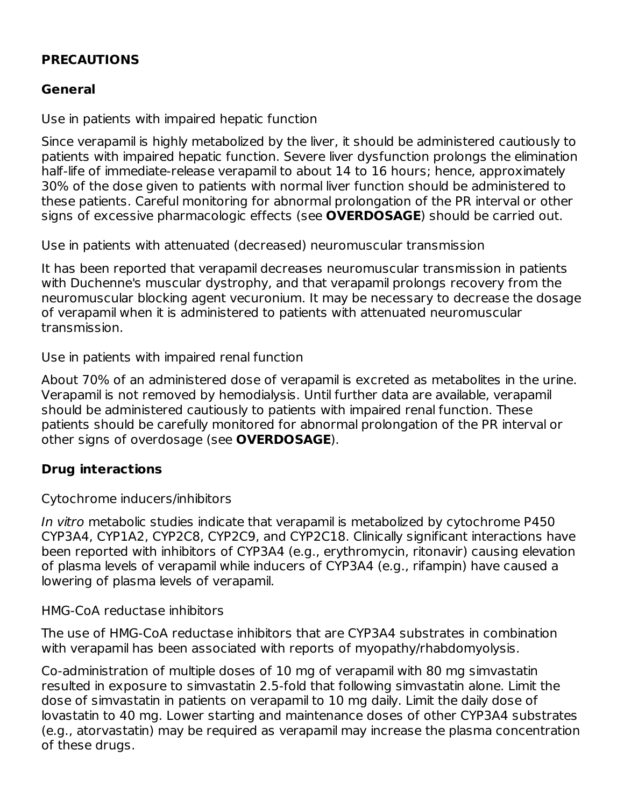### **PRECAUTIONS**

#### **General**

Use in patients with impaired hepatic function

Since verapamil is highly metabolized by the liver, it should be administered cautiously to patients with impaired hepatic function. Severe liver dysfunction prolongs the elimination half-life of immediate-release verapamil to about 14 to 16 hours; hence, approximately 30% of the dose given to patients with normal liver function should be administered to these patients. Careful monitoring for abnormal prolongation of the PR interval or other signs of excessive pharmacologic effects (see **OVERDOSAGE**) should be carried out.

Use in patients with attenuated (decreased) neuromuscular transmission

It has been reported that verapamil decreases neuromuscular transmission in patients with Duchenne's muscular dystrophy, and that verapamil prolongs recovery from the neuromuscular blocking agent vecuronium. It may be necessary to decrease the dosage of verapamil when it is administered to patients with attenuated neuromuscular transmission.

Use in patients with impaired renal function

About 70% of an administered dose of verapamil is excreted as metabolites in the urine. Verapamil is not removed by hemodialysis. Until further data are available, verapamil should be administered cautiously to patients with impaired renal function. These patients should be carefully monitored for abnormal prolongation of the PR interval or other signs of overdosage (see **OVERDOSAGE**).

#### **Drug interactions**

Cytochrome inducers/inhibitors

In vitro metabolic studies indicate that verapamil is metabolized by cytochrome P450 CYP3A4, CYP1A2, CYP2C8, CYP2C9, and CYP2C18. Clinically significant interactions have been reported with inhibitors of CYP3A4 (e.g., erythromycin, ritonavir) causing elevation of plasma levels of verapamil while inducers of CYP3A4 (e.g., rifampin) have caused a lowering of plasma levels of verapamil.

#### HMG-CoA reductase inhibitors

The use of HMG-CoA reductase inhibitors that are CYP3A4 substrates in combination with verapamil has been associated with reports of myopathy/rhabdomyolysis.

Co-administration of multiple doses of 10 mg of verapamil with 80 mg simvastatin resulted in exposure to simvastatin 2.5-fold that following simvastatin alone. Limit the dose of simvastatin in patients on verapamil to 10 mg daily. Limit the daily dose of lovastatin to 40 mg. Lower starting and maintenance doses of other CYP3A4 substrates (e.g., atorvastatin) may be required as verapamil may increase the plasma concentration of these drugs.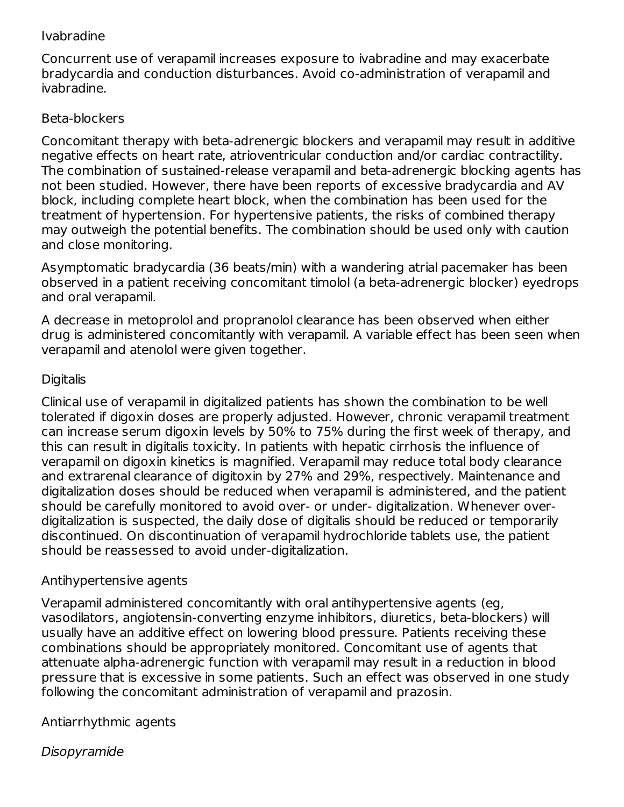#### Ivabradine

Concurrent use of verapamil increases exposure to ivabradine and may exacerbate bradycardia and conduction disturbances. Avoid co-administration of verapamil and ivabradine.

#### Beta-blockers

Concomitant therapy with beta-adrenergic blockers and verapamil may result in additive negative effects on heart rate, atrioventricular conduction and/or cardiac contractility. The combination of sustained-release verapamil and beta-adrenergic blocking agents has not been studied. However, there have been reports of excessive bradycardia and AV block, including complete heart block, when the combination has been used for the treatment of hypertension. For hypertensive patients, the risks of combined therapy may outweigh the potential benefits. The combination should be used only with caution and close monitoring.

Asymptomatic bradycardia (36 beats/min) with a wandering atrial pacemaker has been observed in a patient receiving concomitant timolol (a beta-adrenergic blocker) eyedrops and oral verapamil.

A decrease in metoprolol and propranolol clearance has been observed when either drug is administered concomitantly with verapamil. A variable effect has been seen when verapamil and atenolol were given together.

#### **Digitalis**

Clinical use of verapamil in digitalized patients has shown the combination to be well tolerated if digoxin doses are properly adjusted. However, chronic verapamil treatment can increase serum digoxin levels by 50% to 75% during the first week of therapy, and this can result in digitalis toxicity. In patients with hepatic cirrhosis the influence of verapamil on digoxin kinetics is magnified. Verapamil may reduce total body clearance and extrarenal clearance of digitoxin by 27% and 29%, respectively. Maintenance and digitalization doses should be reduced when verapamil is administered, and the patient should be carefully monitored to avoid over- or under- digitalization. Whenever overdigitalization is suspected, the daily dose of digitalis should be reduced or temporarily discontinued. On discontinuation of verapamil hydrochloride tablets use, the patient should be reassessed to avoid under-digitalization.

#### Antihypertensive agents

Verapamil administered concomitantly with oral antihypertensive agents (eg, vasodilators, angiotensin-converting enzyme inhibitors, diuretics, beta-blockers) will usually have an additive effect on lowering blood pressure. Patients receiving these combinations should be appropriately monitored. Concomitant use of agents that attenuate alpha-adrenergic function with verapamil may result in a reduction in blood pressure that is excessive in some patients. Such an effect was observed in one study following the concomitant administration of verapamil and prazosin.

#### Antiarrhythmic agents

Disopyramide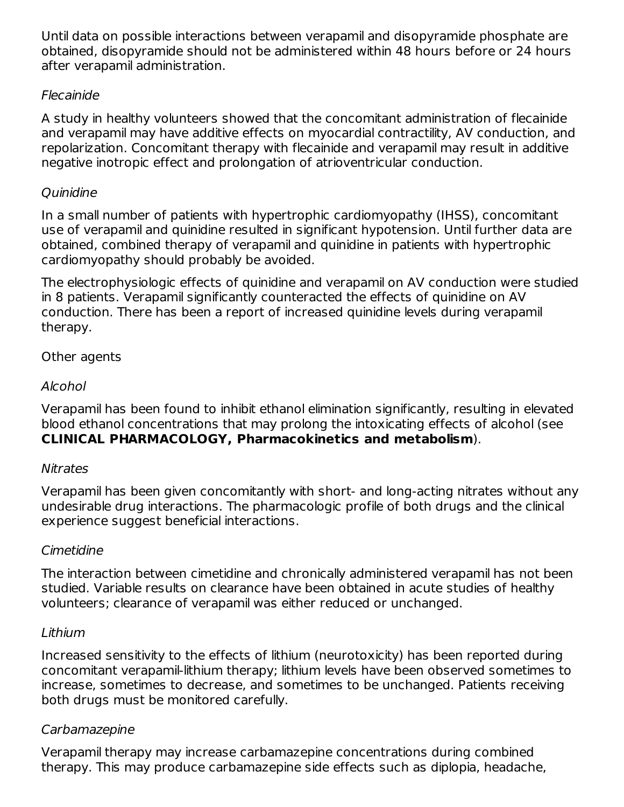Until data on possible interactions between verapamil and disopyramide phosphate are obtained, disopyramide should not be administered within 48 hours before or 24 hours after verapamil administration.

### Flecainide

A study in healthy volunteers showed that the concomitant administration of flecainide and verapamil may have additive effects on myocardial contractility, AV conduction, and repolarization. Concomitant therapy with flecainide and verapamil may result in additive negative inotropic effect and prolongation of atrioventricular conduction.

### **Ouinidine**

In a small number of patients with hypertrophic cardiomyopathy (IHSS), concomitant use of verapamil and quinidine resulted in significant hypotension. Until further data are obtained, combined therapy of verapamil and quinidine in patients with hypertrophic cardiomyopathy should probably be avoided.

The electrophysiologic effects of quinidine and verapamil on AV conduction were studied in 8 patients. Verapamil significantly counteracted the effects of quinidine on AV conduction. There has been a report of increased quinidine levels during verapamil therapy.

### Other agents

### Alcohol

Verapamil has been found to inhibit ethanol elimination significantly, resulting in elevated blood ethanol concentrations that may prolong the intoxicating effects of alcohol (see **CLINICAL PHARMACOLOGY, Pharmacokinetics and metabolism**).

#### Nitrates

Verapamil has been given concomitantly with short- and long-acting nitrates without any undesirable drug interactions. The pharmacologic profile of both drugs and the clinical experience suggest beneficial interactions.

#### Cimetidine

The interaction between cimetidine and chronically administered verapamil has not been studied. Variable results on clearance have been obtained in acute studies of healthy volunteers; clearance of verapamil was either reduced or unchanged.

#### Lithium

Increased sensitivity to the effects of lithium (neurotoxicity) has been reported during concomitant verapamil-lithium therapy; lithium levels have been observed sometimes to increase, sometimes to decrease, and sometimes to be unchanged. Patients receiving both drugs must be monitored carefully.

#### Carbamazepine

Verapamil therapy may increase carbamazepine concentrations during combined therapy. This may produce carbamazepine side effects such as diplopia, headache,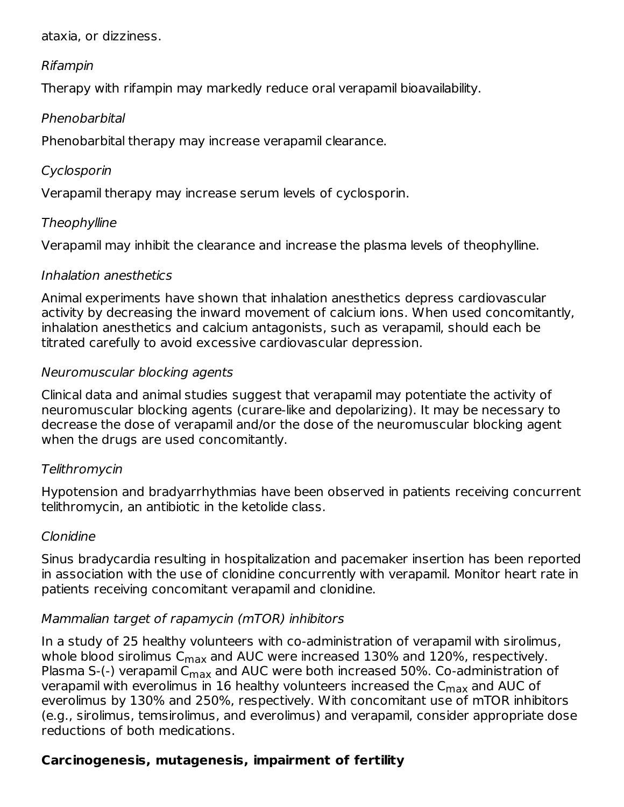ataxia, or dizziness.

Rifampin

Therapy with rifampin may markedly reduce oral verapamil bioavailability.

### Phenobarbital

Phenobarbital therapy may increase verapamil clearance.

## Cyclosporin

Verapamil therapy may increase serum levels of cyclosporin.

## **Theophylline**

Verapamil may inhibit the clearance and increase the plasma levels of theophylline.

### Inhalation anesthetics

Animal experiments have shown that inhalation anesthetics depress cardiovascular activity by decreasing the inward movement of calcium ions. When used concomitantly, inhalation anesthetics and calcium antagonists, such as verapamil, should each be titrated carefully to avoid excessive cardiovascular depression.

### Neuromuscular blocking agents

Clinical data and animal studies suggest that verapamil may potentiate the activity of neuromuscular blocking agents (curare-like and depolarizing). It may be necessary to decrease the dose of verapamil and/or the dose of the neuromuscular blocking agent when the drugs are used concomitantly.

### Telithromycin

Hypotension and bradyarrhythmias have been observed in patients receiving concurrent telithromycin, an antibiotic in the ketolide class.

### Clonidine

Sinus bradycardia resulting in hospitalization and pacemaker insertion has been reported in association with the use of clonidine concurrently with verapamil. Monitor heart rate in patients receiving concomitant verapamil and clonidine.

### Mammalian target of rapamycin (mTOR) inhibitors

In a study of 25 healthy volunteers with co-administration of verapamil with sirolimus, whole blood sirolimus C $_{\sf max}$  and AUC were increased  $130\%$  and  $120\%$ , respectively. Plasma S-(-) verapamil C<sub>max</sub> and AUC were both increased 50%. Co-administration of verapamil with everolimus in 16 healthy volunteers increased the  ${\sf C}_{\sf max}$  and AUC of everolimus by 130% and 250%, respectively. With concomitant use of mTOR inhibitors (e.g., sirolimus, temsirolimus, and everolimus) and verapamil, consider appropriate dose reductions of both medications.

## **Carcinogenesis, mutagenesis, impairment of fertility**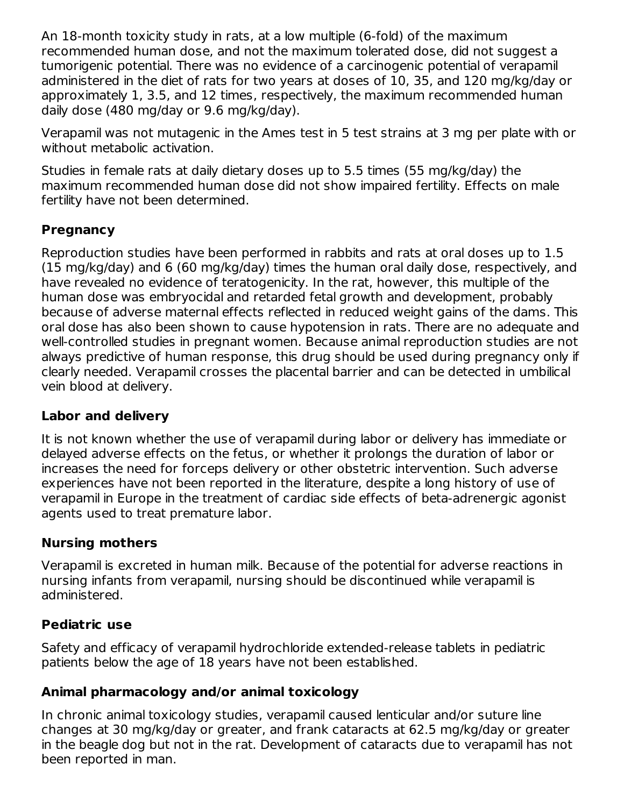An 18-month toxicity study in rats, at a low multiple (6-fold) of the maximum recommended human dose, and not the maximum tolerated dose, did not suggest a tumorigenic potential. There was no evidence of a carcinogenic potential of verapamil administered in the diet of rats for two years at doses of 10, 35, and 120 mg/kg/day or approximately 1, 3.5, and 12 times, respectively, the maximum recommended human daily dose (480 mg/day or 9.6 mg/kg/day).

Verapamil was not mutagenic in the Ames test in 5 test strains at 3 mg per plate with or without metabolic activation.

Studies in female rats at daily dietary doses up to 5.5 times (55 mg/kg/day) the maximum recommended human dose did not show impaired fertility. Effects on male fertility have not been determined.

## **Pregnancy**

Reproduction studies have been performed in rabbits and rats at oral doses up to 1.5 (15 mg/kg/day) and 6 (60 mg/kg/day) times the human oral daily dose, respectively, and have revealed no evidence of teratogenicity. In the rat, however, this multiple of the human dose was embryocidal and retarded fetal growth and development, probably because of adverse maternal effects reflected in reduced weight gains of the dams. This oral dose has also been shown to cause hypotension in rats. There are no adequate and well-controlled studies in pregnant women. Because animal reproduction studies are not always predictive of human response, this drug should be used during pregnancy only if clearly needed. Verapamil crosses the placental barrier and can be detected in umbilical vein blood at delivery.

### **Labor and delivery**

It is not known whether the use of verapamil during labor or delivery has immediate or delayed adverse effects on the fetus, or whether it prolongs the duration of labor or increases the need for forceps delivery or other obstetric intervention. Such adverse experiences have not been reported in the literature, despite a long history of use of verapamil in Europe in the treatment of cardiac side effects of beta-adrenergic agonist agents used to treat premature labor.

### **Nursing mothers**

Verapamil is excreted in human milk. Because of the potential for adverse reactions in nursing infants from verapamil, nursing should be discontinued while verapamil is administered.

### **Pediatric use**

Safety and efficacy of verapamil hydrochloride extended-release tablets in pediatric patients below the age of 18 years have not been established.

### **Animal pharmacology and/or animal toxicology**

In chronic animal toxicology studies, verapamil caused lenticular and/or suture line changes at 30 mg/kg/day or greater, and frank cataracts at 62.5 mg/kg/day or greater in the beagle dog but not in the rat. Development of cataracts due to verapamil has not been reported in man.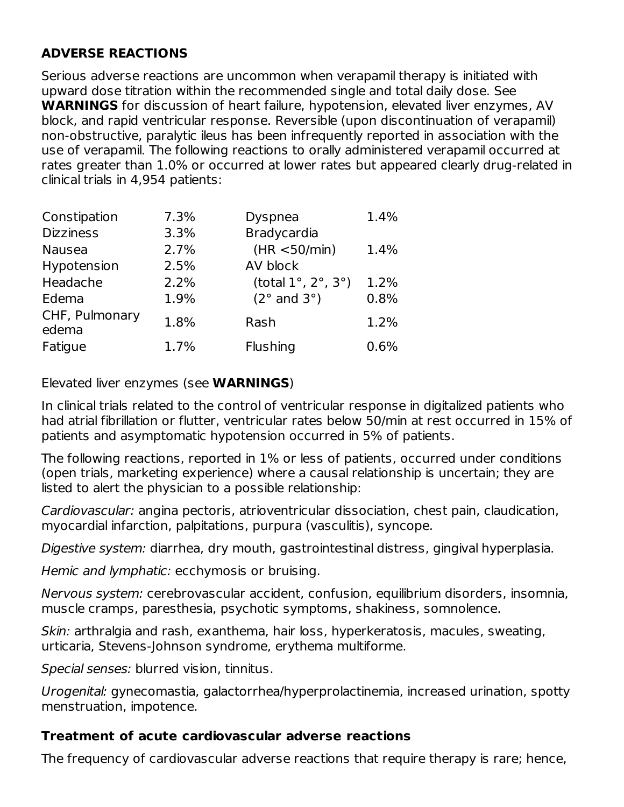### **ADVERSE REACTIONS**

Serious adverse reactions are uncommon when verapamil therapy is initiated with upward dose titration within the recommended single and total daily dose. See **WARNINGS** for discussion of heart failure, hypotension, elevated liver enzymes, AV block, and rapid ventricular response. Reversible (upon discontinuation of verapamil) non-obstructive, paralytic ileus has been infrequently reported in association with the use of verapamil. The following reactions to orally administered verapamil occurred at rates greater than 1.0% or occurred at lower rates but appeared clearly drug-related in clinical trials in 4,954 patients:

| Constipation            | 7.3% | <b>Dyspnea</b>                             | 1.4% |
|-------------------------|------|--------------------------------------------|------|
| <b>Dizziness</b>        | 3.3% | Bradycardia                                |      |
| <b>Nausea</b>           | 2.7% | (HR < 50/min)                              | 1.4% |
| Hypotension             | 2.5% | AV block                                   |      |
| Headache                | 2.2% | (total $1^\circ$ , $2^\circ$ , $3^\circ$ ) | 1.2% |
| Edema                   | 1.9% | $(2^{\circ}$ and $3^{\circ})$              | 0.8% |
| CHF, Pulmonary<br>edema | 1.8% | Rash                                       | 1.2% |
| Fatigue                 | 1.7% | Flushing                                   | 0.6% |

Elevated liver enzymes (see **WARNINGS**)

In clinical trials related to the control of ventricular response in digitalized patients who had atrial fibrillation or flutter, ventricular rates below 50/min at rest occurred in 15% of patients and asymptomatic hypotension occurred in 5% of patients.

The following reactions, reported in 1% or less of patients, occurred under conditions (open trials, marketing experience) where a causal relationship is uncertain; they are listed to alert the physician to a possible relationship:

Cardiovascular: angina pectoris, atrioventricular dissociation, chest pain, claudication, myocardial infarction, palpitations, purpura (vasculitis), syncope.

Digestive system: diarrhea, dry mouth, gastrointestinal distress, gingival hyperplasia.

Hemic and lymphatic: ecchymosis or bruising.

Nervous system: cerebrovascular accident, confusion, equilibrium disorders, insomnia, muscle cramps, paresthesia, psychotic symptoms, shakiness, somnolence.

Skin: arthralgia and rash, exanthema, hair loss, hyperkeratosis, macules, sweating, urticaria, Stevens-Johnson syndrome, erythema multiforme.

Special senses: blurred vision, tinnitus.

Urogenital: gynecomastia, galactorrhea/hyperprolactinemia, increased urination, spotty menstruation, impotence.

#### **Treatment of acute cardiovascular adverse reactions**

The frequency of cardiovascular adverse reactions that require therapy is rare; hence,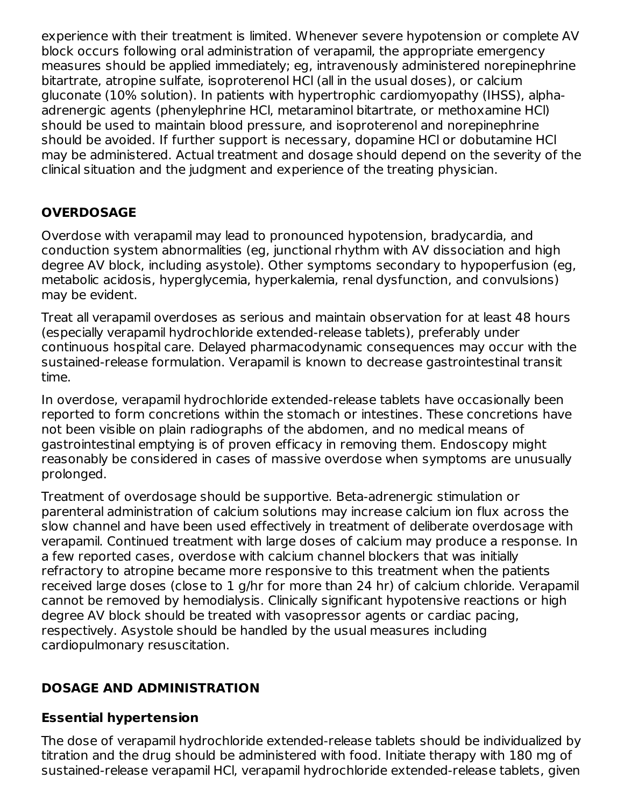experience with their treatment is limited. Whenever severe hypotension or complete AV block occurs following oral administration of verapamil, the appropriate emergency measures should be applied immediately; eg, intravenously administered norepinephrine bitartrate, atropine sulfate, isoproterenol HCl (all in the usual doses), or calcium gluconate (10% solution). In patients with hypertrophic cardiomyopathy (IHSS), alphaadrenergic agents (phenylephrine HCl, metaraminol bitartrate, or methoxamine HCl) should be used to maintain blood pressure, and isoproterenol and norepinephrine should be avoided. If further support is necessary, dopamine HCl or dobutamine HCl may be administered. Actual treatment and dosage should depend on the severity of the clinical situation and the judgment and experience of the treating physician.

# **OVERDOSAGE**

Overdose with verapamil may lead to pronounced hypotension, bradycardia, and conduction system abnormalities (eg, junctional rhythm with AV dissociation and high degree AV block, including asystole). Other symptoms secondary to hypoperfusion (eg, metabolic acidosis, hyperglycemia, hyperkalemia, renal dysfunction, and convulsions) may be evident.

Treat all verapamil overdoses as serious and maintain observation for at least 48 hours (especially verapamil hydrochloride extended-release tablets), preferably under continuous hospital care. Delayed pharmacodynamic consequences may occur with the sustained-release formulation. Verapamil is known to decrease gastrointestinal transit time.

In overdose, verapamil hydrochloride extended-release tablets have occasionally been reported to form concretions within the stomach or intestines. These concretions have not been visible on plain radiographs of the abdomen, and no medical means of gastrointestinal emptying is of proven efficacy in removing them. Endoscopy might reasonably be considered in cases of massive overdose when symptoms are unusually prolonged.

Treatment of overdosage should be supportive. Beta-adrenergic stimulation or parenteral administration of calcium solutions may increase calcium ion flux across the slow channel and have been used effectively in treatment of deliberate overdosage with verapamil. Continued treatment with large doses of calcium may produce a response. In a few reported cases, overdose with calcium channel blockers that was initially refractory to atropine became more responsive to this treatment when the patients received large doses (close to 1 g/hr for more than 24 hr) of calcium chloride. Verapamil cannot be removed by hemodialysis. Clinically significant hypotensive reactions or high degree AV block should be treated with vasopressor agents or cardiac pacing, respectively. Asystole should be handled by the usual measures including cardiopulmonary resuscitation.

### **DOSAGE AND ADMINISTRATION**

### **Essential hypertension**

The dose of verapamil hydrochloride extended-release tablets should be individualized by titration and the drug should be administered with food. Initiate therapy with 180 mg of sustained-release verapamil HCl, verapamil hydrochloride extended-release tablets, given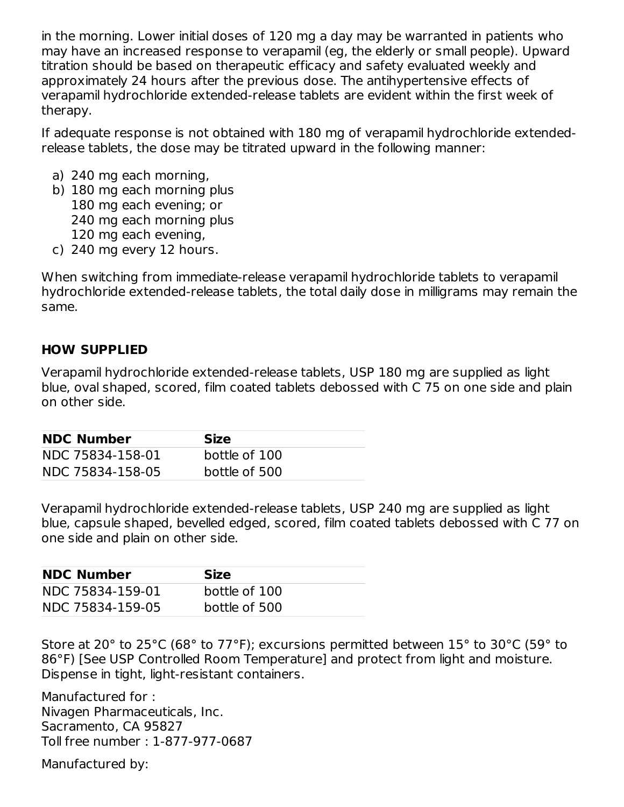in the morning. Lower initial doses of 120 mg a day may be warranted in patients who may have an increased response to verapamil (eg, the elderly or small people). Upward titration should be based on therapeutic efficacy and safety evaluated weekly and approximately 24 hours after the previous dose. The antihypertensive effects of verapamil hydrochloride extended-release tablets are evident within the first week of therapy.

If adequate response is not obtained with 180 mg of verapamil hydrochloride extendedrelease tablets, the dose may be titrated upward in the following manner:

- a) 240 mg each morning,
- b) 180 mg each morning plus 180 mg each evening; or 240 mg each morning plus 120 mg each evening,
- c) 240 mg every 12 hours.

When switching from immediate-release verapamil hydrochloride tablets to verapamil hydrochloride extended-release tablets, the total daily dose in milligrams may remain the same.

#### **HOW SUPPLIED**

Verapamil hydrochloride extended-release tablets, USP 180 mg are supplied as light blue, oval shaped, scored, film coated tablets debossed with C 75 on one side and plain on other side.

| <b>NDC Number</b> | <b>Size</b>   |  |
|-------------------|---------------|--|
| NDC 75834-158-01  | bottle of 100 |  |
| NDC 75834-158-05  | bottle of 500 |  |

Verapamil hydrochloride extended-release tablets, USP 240 mg are supplied as light blue, capsule shaped, bevelled edged, scored, film coated tablets debossed with C 77 on one side and plain on other side.

| <b>NDC Number</b> | <b>Size</b>   |
|-------------------|---------------|
| NDC 75834-159-01  | bottle of 100 |
| NDC 75834-159-05  | bottle of 500 |

Store at 20° to 25°C (68° to 77°F); excursions permitted between 15° to 30°C (59° to 86°F) [See USP Controlled Room Temperature] and protect from light and moisture. Dispense in tight, light-resistant containers.

Manufactured for : Nivagen Pharmaceuticals, Inc. Sacramento, CA 95827 Toll free number : 1-877-977-0687

Manufactured by: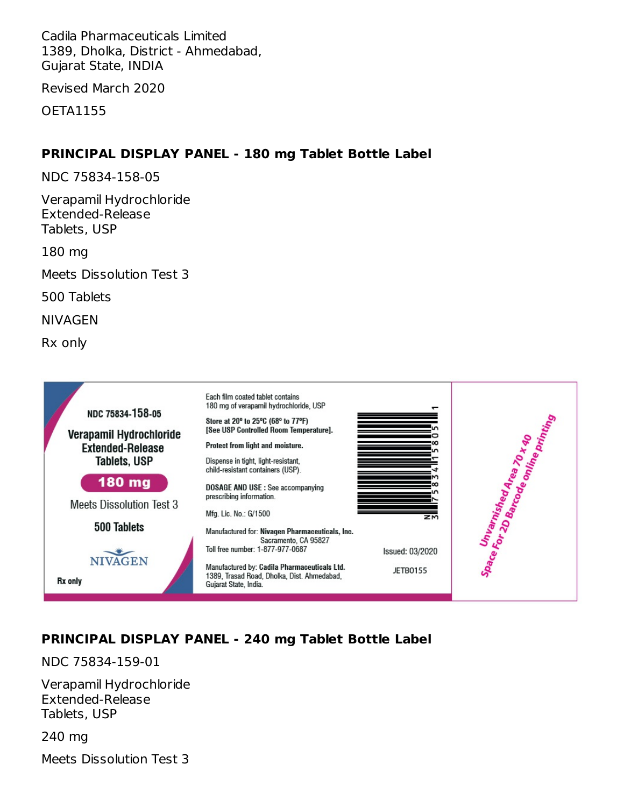Cadila Pharmaceuticals Limited 1389, Dholka, District - Ahmedabad, Gujarat State, INDIA

Revised March 2020

OETA1155

#### **PRINCIPAL DISPLAY PANEL - 180 mg Tablet Bottle Label**

NDC 75834-158-05

Verapamil Hydrochloride Extended-Release Tablets, USP

180 mg

Meets Dissolution Test 3

500 Tablets

NIVAGEN

Rx only



#### **PRINCIPAL DISPLAY PANEL - 240 mg Tablet Bottle Label**

NDC 75834-159-01

Verapamil Hydrochloride Extended-Release Tablets, USP

240 mg

Meets Dissolution Test 3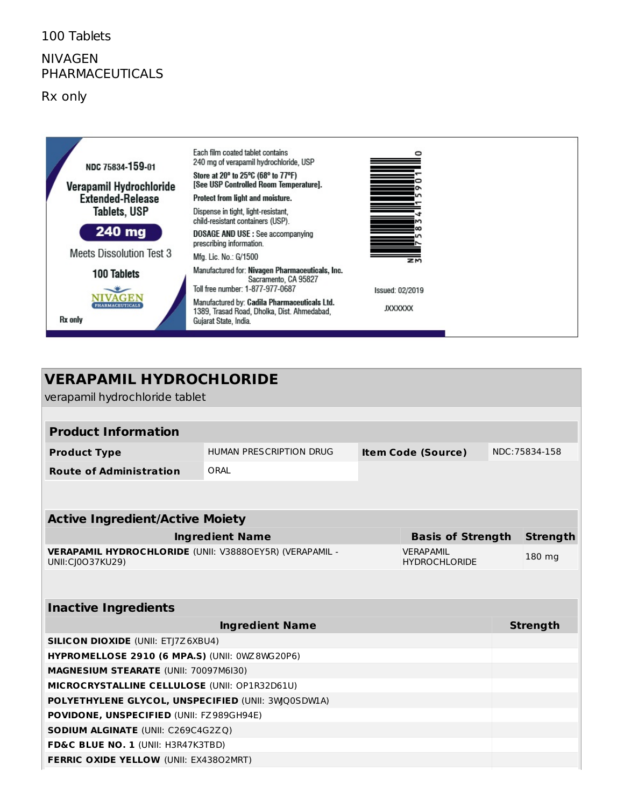100 Tablets

#### NIVAGEN PHARMACEUTICALS

Rx only



# **VERAPAMIL HYDROCHLORIDE** verapamil hydrochloride tablet **Product Information Product Type** HUMAN PRESCRIPTION DRUG **Item Code (Source)** NDC:75834-158 **Route of Administration** ORAL **Active Ingredient/Active Moiety Ingredient Name Basis of Strength Strength VERAPAMIL HYDROCHLORIDE** (UNII: V3888OEY5R) (VERAPAMIL - UNII:CJ0O37KU29) VERAPAMIL HYDROCHLORIDE 180 mg **Inactive Ingredients Ingredient Name Strength SILICON DIOXIDE** (UNII: ETJ7Z6XBU4) **HYPROMELLOSE 2910 (6 MPA.S)** (UNII: 0WZ8WG20P6) **MAGNESIUM STEARATE** (UNII: 70097M6I30) **MICROCRYSTALLINE CELLULOSE** (UNII: OP1R32D61U) **POLYETHYLENE GLYCOL, UNSPECIFIED** (UNII: 3WJQ0SDW1A) **POVIDONE, UNSPECIFIED** (UNII: FZ989GH94E) **SODIUM ALGINATE** (UNII: C269C4G2ZQ) **FD&C BLUE NO. 1** (UNII: H3R47K3TBD) **FERRIC OXIDE YELLOW** (UNII: EX438O2MRT)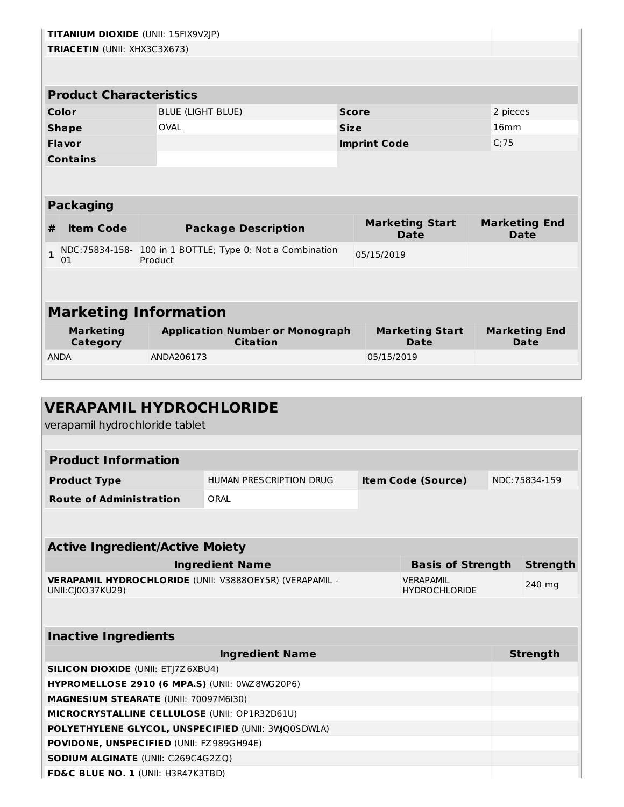| TITANIUM DIOXIDE (UNII: 15FIX9V2JP)       |                          |                                                           |             |                                       |                                          |                 |                                     |
|-------------------------------------------|--------------------------|-----------------------------------------------------------|-------------|---------------------------------------|------------------------------------------|-----------------|-------------------------------------|
| <b>TRIACETIN (UNII: XHX3C3X673)</b>       |                          |                                                           |             |                                       |                                          |                 |                                     |
|                                           |                          |                                                           |             |                                       |                                          |                 |                                     |
|                                           |                          |                                                           |             |                                       |                                          |                 |                                     |
| <b>Product Characteristics</b>            |                          |                                                           |             |                                       |                                          |                 |                                     |
| Color                                     | <b>BLUE (LIGHT BLUE)</b> |                                                           |             | <b>Score</b>                          |                                          | 2 pieces        |                                     |
| <b>Shape</b>                              | <b>OVAL</b>              |                                                           | <b>Size</b> |                                       |                                          | 16mm            |                                     |
| Flavor                                    |                          |                                                           |             | <b>Imprint Code</b>                   |                                          | C <sub>75</sub> |                                     |
| <b>Contains</b>                           |                          |                                                           |             |                                       |                                          |                 |                                     |
|                                           |                          |                                                           |             |                                       |                                          |                 |                                     |
|                                           |                          |                                                           |             |                                       |                                          |                 |                                     |
| <b>Packaging</b>                          |                          |                                                           |             |                                       |                                          |                 |                                     |
| <b>Item Code</b><br>#                     |                          | <b>Package Description</b>                                |             | <b>Marketing Start</b><br><b>Date</b> |                                          |                 | <b>Marketing End</b><br><b>Date</b> |
| NDC:75834-158-<br>$\mathbf{1}$<br>01      | Product                  | 100 in 1 BOTTLE; Type 0: Not a Combination                |             | 05/15/2019                            |                                          |                 |                                     |
|                                           |                          |                                                           |             |                                       |                                          |                 |                                     |
|                                           |                          |                                                           |             |                                       |                                          |                 |                                     |
| <b>Marketing Information</b>              |                          |                                                           |             |                                       |                                          |                 |                                     |
|                                           |                          |                                                           |             |                                       |                                          |                 |                                     |
| <b>Marketing</b><br>Category              |                          | <b>Application Number or Monograph</b><br><b>Citation</b> |             |                                       | <b>Marketing Start</b><br>Date           |                 | <b>Marketing End</b><br>Date        |
| <b>ANDA</b>                               | ANDA206173               |                                                           |             | 05/15/2019                            |                                          |                 |                                     |
|                                           |                          |                                                           |             |                                       |                                          |                 |                                     |
|                                           |                          |                                                           |             |                                       |                                          |                 |                                     |
|                                           |                          |                                                           |             |                                       |                                          |                 |                                     |
|                                           |                          |                                                           |             |                                       |                                          |                 |                                     |
| <b>VERAPAMIL HYDROCHLORIDE</b>            |                          |                                                           |             |                                       |                                          |                 |                                     |
| verapamil hydrochloride tablet            |                          |                                                           |             |                                       |                                          |                 |                                     |
|                                           |                          |                                                           |             |                                       |                                          |                 |                                     |
| <b>Product Information</b>                |                          |                                                           |             |                                       |                                          |                 |                                     |
| <b>Product Type</b>                       |                          | HUMAN PRESCRIPTION DRUG                                   |             | <b>Item Code (Source)</b>             |                                          |                 | NDC: 75834-159                      |
| <b>Route of Administration</b>            |                          | ORAL                                                      |             |                                       |                                          |                 |                                     |
|                                           |                          |                                                           |             |                                       |                                          |                 |                                     |
|                                           |                          |                                                           |             |                                       |                                          |                 |                                     |
| <b>Active Ingredient/Active Moiety</b>    |                          |                                                           |             |                                       |                                          |                 |                                     |
|                                           |                          | <b>Ingredient Name</b>                                    |             |                                       | <b>Basis of Strength</b>                 |                 | <b>Strength</b>                     |
| UNII:CJ0O37KU29)                          |                          | VERAPAMIL HYDROCHLORIDE (UNII: V38880EY5R) (VERAPAMIL -   |             |                                       | <b>VERAPAMIL</b><br><b>HYDROCHLORIDE</b> |                 | 240 mg                              |
|                                           |                          |                                                           |             |                                       |                                          |                 |                                     |
|                                           |                          |                                                           |             |                                       |                                          |                 |                                     |
| <b>Inactive Ingredients</b>               |                          |                                                           |             |                                       |                                          |                 |                                     |
|                                           |                          | <b>Ingredient Name</b>                                    |             |                                       |                                          |                 | <b>Strength</b>                     |
| <b>SILICON DIOXIDE (UNII: ETJ7Z6XBU4)</b> |                          |                                                           |             |                                       |                                          |                 |                                     |
|                                           |                          | HYPROMELLOSE 2910 (6 MPA.S) (UNII: 0WZ8WG20P6)            |             |                                       |                                          |                 |                                     |
| MAGNESIUM STEARATE (UNII: 70097M6I30)     |                          |                                                           |             |                                       |                                          |                 |                                     |
|                                           |                          | MICROCRYSTALLINE CELLULOSE (UNII: OP1R32D61U)             |             |                                       |                                          |                 |                                     |
| POVIDONE, UNSPECIFIED (UNII: FZ989GH94E)  |                          | POLYETHYLENE GLYCOL, UNSPECIFIED (UNII: 3WQ0SDWIA)        |             |                                       |                                          |                 |                                     |

**FD&C BLUE NO. 1** (UNII: H3R47K3TBD)